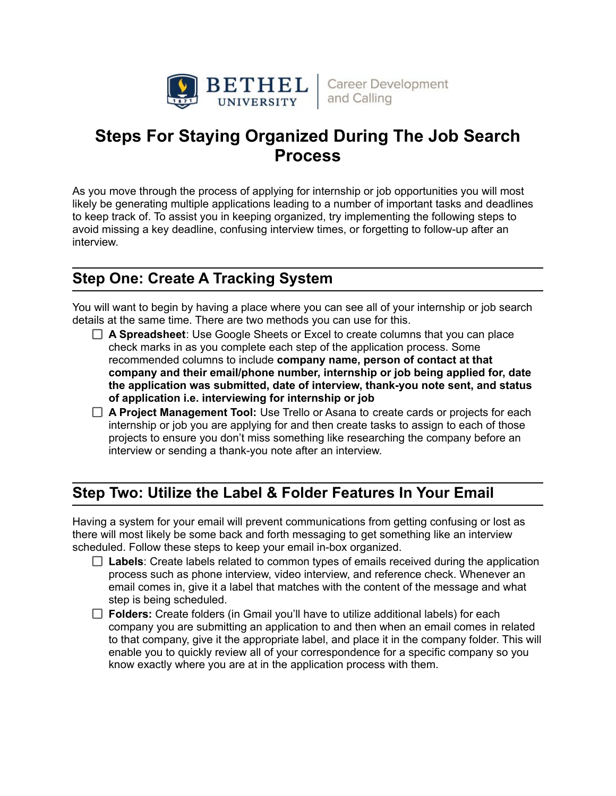

# **Steps For Staying Organized During The Job Search Process**

As you move through the process of applying for internship or job opportunities you will most likely be generating multiple applications leading to a number of important tasks and deadlines to keep track of. To assist you in keeping organized, try implementing the following steps to avoid missing a key deadline, confusing interview times, or forgetting to follow-up after an interview.

### **Step One: Create A Tracking System**

You will want to begin by having a place where you can see all of your internship or job search details at the same time. There are two methods you can use for this.

- **A Spreadsheet**: Use Google Sheets or Excel to create columns that you can place check marks in as you complete each step of the application process. Some recommended columns to include **company name, person of contact at that company and their email/phone number, internship or job being applied for, date the application was submitted, date of interview, thank-you note sent, and status of application i.e. interviewing for internship or job**
- **A Project Management Tool:** Use Trello or Asana to create cards or projects for each internship or job you are applying for and then create tasks to assign to each of those projects to ensure you don't miss something like researching the company before an interview or sending a thank-you note after an interview.

### **Step Two: Utilize the Label & Folder Features In Your Email**

Having a system for your email will prevent communications from getting confusing or lost as there will most likely be some back and forth messaging to get something like an interview scheduled. Follow these steps to keep your email in-box organized.

- □ Labels: Create labels related to common types of emails received during the application process such as phone interview, video interview, and reference check. Whenever an email comes in, give it a label that matches with the content of the message and what step is being scheduled.
- □ Folders: Create folders (in Gmail you'll have to utilize additional labels) for each company you are submitting an application to and then when an email comes in related to that company, give it the appropriate label, and place it in the company folder. This will enable you to quickly review all of your correspondence for a specific company so you know exactly where you are at in the application process with them.